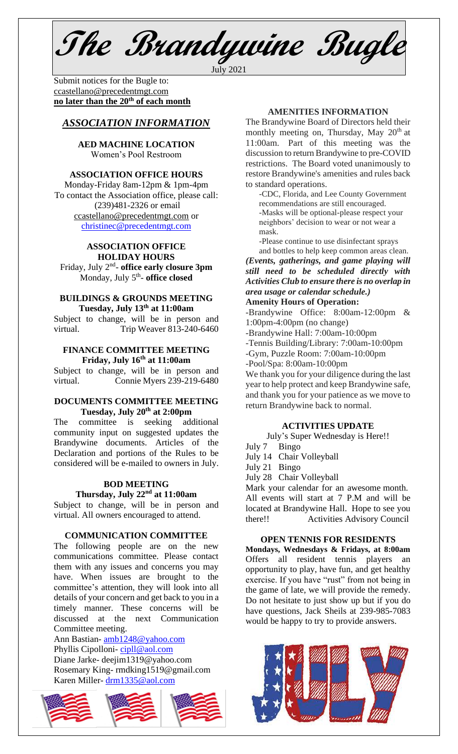**The Brandywine Bugle** July 2021

Submit notices for the Bugle to: [ccastellano@precedentmgt.com](mailto:johnandbethgrooms@gmail.com) **no later than the 20th of each month**

# *ASSOCIATION INFORMATION*

**AED MACHINE LOCATION**  Women's Pool Restroom

## **ASSOCIATION OFFICE HOURS**

Monday-Friday 8am-12pm & 1pm-4pm To contact the Association office, please call: (239)481-2326 or email [ccastellano@precedentmgt.com](mailto:ccastellano@precedentmgt.com) or [christinec@precedentmgt.com](mailto:christinec@precedentmgt.com)

## **ASSOCIATION OFFICE HOLIDAY HOURS**

Friday, July 2nd - **office early closure 3pm** Monday, July 5th - **office closed**

#### **BUILDINGS & GROUNDS MEETING Tuesday, July 13th at 11:00am**

Subject to change, will be in person and virtual. Trip Weaver 813-240-6460

## **FINANCE COMMITTEE MEETING Friday, July 16 th at 11:00am**

Subject to change, will be in person and virtual. Connie Myers 239-219-6480

## **DOCUMENTS COMMITTEE MEETING Tuesday, July 20 th at 2:00pm**

The committee is seeking additional community input on suggested updates the Brandywine documents. Articles of the Declaration and portions of the Rules to be considered will be e-mailed to owners in July.

# **BOD MEETING Thursday, July 22nd at 11:00am**

Subject to change, will be in person and virtual. All owners encouraged to attend.

#### **COMMUNICATION COMMITTEE**

The following people are on the new communications committee. Please contact them with any issues and concerns you may have. When issues are brought to the committee's attention, they will look into all details of your concern and get back to you in a timely manner. These concerns will be discussed at the next Communication Committee meeting.

Ann Bastian- [amb1248@yahoo.com](mailto:amb1248@yahoo.com) Phyllis Cipolloni- [cipll@aol.com](mailto:cipll@aol.com) Diane Jarke- deejim1319@yahoo.com Rosemary King- rmdking1519@gmail.com Karen Miller- [drm1335@aol.com](mailto:drm1335@aol.com)



# **AMENITIES INFORMATION**

The Brandywine Board of Directors held their monthly meeting on, Thursday, May 20<sup>th</sup> at 11:00am. Part of this meeting was the discussion to return Brandywine to pre-COVID restrictions. The Board voted unanimously to restore Brandywine's amenities and rules back to standard operations.

-CDC, Florida, and Lee County Government recommendations are still encouraged. -Masks will be optional-please respect your neighbors' decision to wear or not wear a mask.

-Please continue to use disinfectant sprays and bottles to help keep common areas clean.

*(Events, gatherings, and game playing will still need to be scheduled directly with Activities Club to ensure there is no overlap in area usage or calendar schedule.)*

## **Amenity Hours of Operation:**

-Brandywine Office: 8:00am-12:00pm & 1:00pm-4:00pm (no change)

-Brandywine Hall: 7:00am-10:00pm

-Tennis Building/Library: 7:00am-10:00pm

-Gym, Puzzle Room: 7:00am-10:00pm

-Pool/Spa: 8:00am-10:00pm

We thank you for your diligence during the last year to help protect and keep Brandywine safe, and thank you for your patience as we move to return Brandywine back to normal.

## **ACTIVITIES UPDATE**

July's Super Wednesday is Here!!

- July 7 Bingo
- July 14 Chair Volleyball
- July 21 Bingo
- July 28 Chair Volleyball

Mark your calendar for an awesome month. All events will start at 7 P.M and will be located at Brandywine Hall. Hope to see you there!! Activities Advisory Council

### **OPEN TENNIS FOR RESIDENTS**

**Mondays, Wednesdays & Fridays, at 8:00am** Offers all resident tennis players an opportunity to play, have fun, and get healthy exercise. If you have "rust" from not being in the game of late, we will provide the remedy. Do not hesitate to just show up but if you do have questions, Jack Sheils at 239-985-7083 would be happy to try to provide answers.

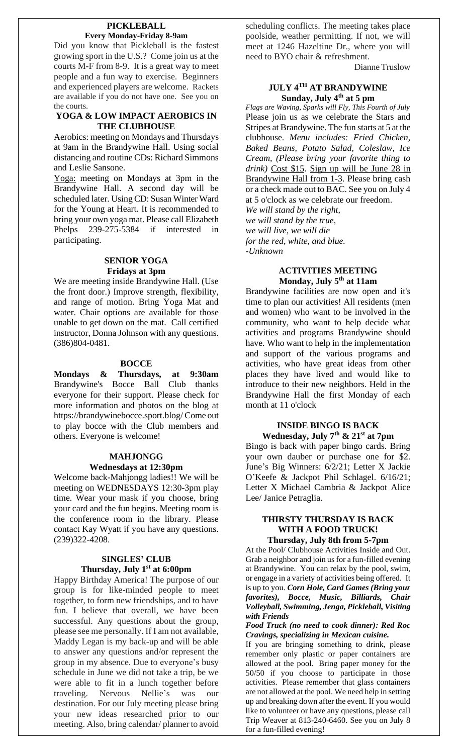#### **PICKLEBALL Every Monday-Friday 8-9am**

Did you know that Pickleball is the fastest growing sport in the U.S.? Come join us at the courts M-F from 8-9. It is a great way to meet people and a fun way to exercise. Beginners and experienced players are welcome. Rackets are available if you do not have one. See you on the courts.

## **YOGA & LOW IMPACT AEROBICS IN THE CLUBHOUSE**

Aerobics: meeting on Mondays and Thursdays at 9am in the Brandywine Hall. Using social distancing and routine CDs: Richard Simmons and Leslie Sansone.

Yoga: meeting on Mondays at 3pm in the Brandywine Hall. A second day will be scheduled later. Using CD: Susan Winter Ward for the Young at Heart. It is recommended to bring your own yoga mat. Please call Elizabeth Phelps 239-275-5384 if interested in participating.

## **SENIOR YOGA Fridays at 3pm**

We are meeting inside Brandywine Hall. (Use the front door.) Improve strength, flexibility, and range of motion. Bring Yoga Mat and water. Chair options are available for those unable to get down on the mat. Call certified instructor, Donna Johnson with any questions. (386)804-0481.

## **BOCCE**

**Mondays & Thursdays, at 9:30am** Brandywine's Bocce Ball Club thanks everyone for their support. Please check for more information and photos on the blog at https://brandywinebocce.sport.blog/ Come out to play bocce with the Club members and others. Everyone is welcome!

#### **MAHJONGG Wednesdays at 12:30pm**

Welcome back-Mahjongg ladies!! We will be meeting on WEDNESDAYS 12:30-3pm play time. Wear your mask if you choose, bring your card and the fun begins. Meeting room is the conference room in the library. Please contact Kay Wyatt if you have any questions. (239)322-4208.

# **SINGLES' CLUB Thursday, July 1st at 6:00pm**

Happy Birthday America! The purpose of our group is for like-minded people to meet together, to form new friendships, and to have fun. I believe that overall, we have been successful. Any questions about the group, please see me personally. If I am not available, Maddy Legan is my back-up and will be able to answer any questions and/or represent the group in my absence. Due to everyone's busy schedule in June we did not take a trip, be we were able to fit in a lunch together before traveling. Nervous Nellie's was our destination. For our July meeting please bring your new ideas researched prior to our meeting. Also, bring calendar/ planner to avoid

scheduling conflicts. The meeting takes place poolside, weather permitting. If not, we will meet at 1246 Hazeltine Dr., where you will need to BYO chair & refreshment.

Dianne Truslow

# **JULY 4TH AT BRANDYWINE Sunday, July 4 th at 5 pm**

*Flags are Waving, Sparks will Fly, This Fourth of July* Please join us as we celebrate the Stars and Stripes at Brandywine. The fun starts at 5 at the clubhouse. *Menu includes: Fried Chicken, Baked Beans, Potato Salad, Coleslaw, Ice Cream, (Please bring your favorite thing to drink)* Cost \$15. Sign up will be June 28 in Brandywine Hall from 1-3. Please bring cash or a check made out to BAC. See you on July 4 at 5 o'clock as we celebrate our freedom.

*We will stand by the right, we will stand by the true, we will live, we will die for the red, white, and blue. -Unknown*

## **ACTIVITIES MEETING Monday, July 5 th at 11am**

Brandywine facilities are now open and it's time to plan our activities! All residents (men and women) who want to be involved in the community, who want to help decide what activities and programs Brandywine should have. Who want to help in the implementation and support of the various programs and activities, who have great ideas from other places they have lived and would like to introduce to their new neighbors. Held in the Brandywine Hall the first Monday of each month at 11 o'clock

# **INSIDE BINGO IS BACK Wednesday, July 7 th & 21st at 7pm**

Bingo is back with paper bingo cards. Bring your own dauber or purchase one for \$2. June's Big Winners: 6/2/21; Letter X Jackie O'Keefe & Jackpot Phil Schlagel. 6/16/21; Letter X Michael Cambria & Jackpot Alice Lee/ Janice Petraglia.

## **THIRSTY THURSDAY IS BACK WITH A FOOD TRUCK! Thursday, July 8th from 5-7pm**

At the Pool/ Clubhouse Activities Inside and Out. Grab a neighbor and join us for a fun-filled evening at Brandywine. You can relax by the pool, swim, or engage in a variety of activities being offered. It is up to you. *Corn Hole, Card Games (Bring your favorites), Bocce, Music, Billiards, Chair Volleyball, Swimming, Jenga, Pickleball, Visiting with Friends*

#### *Food Truck (no need to cook dinner): Red Roc Cravings, specializing in Mexican cuisine.*

If you are bringing something to drink, please remember only plastic or paper containers are allowed at the pool. Bring paper money for the 50/50 if you choose to participate in those activities. Please remember that glass containers are not allowed at the pool. We need help in setting up and breaking down after the event. If you would like to volunteer or have any questions, please call Trip Weaver at 813-240-6460. See you on July 8 for a fun-filled evening!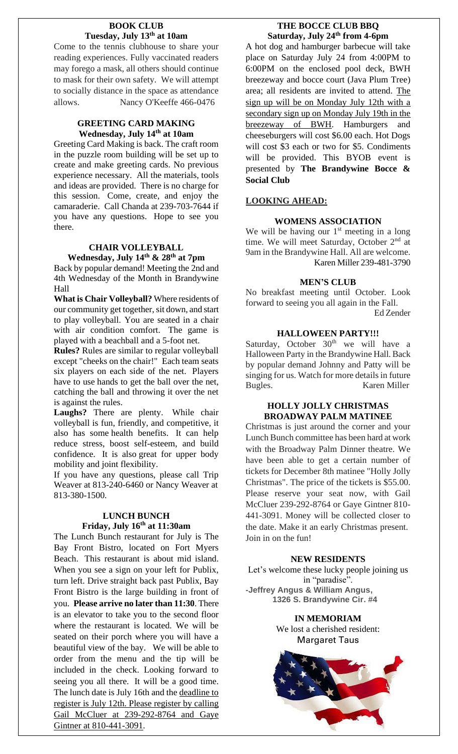## **BOOK CLUB Tuesday, July 13th at 10am**

Come to the tennis clubhouse to share your reading experiences. Fully vaccinated readers may forego a mask, all others should continue to mask for their own safety. We will attempt to socially distance in the space as attendance allows. Nancy O'Keeffe 466-0476

## **GREETING CARD MAKING Wednesday, July 14th at 10am**

Greeting Card Making is back. The craft room in the puzzle room building will be set up to create and make greeting cards. No previous experience necessary. All the materials, tools and ideas are provided. There is no charge for this session. Come, create, and enjoy the camaraderie. Call Chanda at 239-703-7644 if you have any questions. Hope to see you there.

# **CHAIR VOLLEYBALL**

**Wednesday, July 14th & 28th at 7pm** Back by popular demand! Meeting the 2nd and 4th Wednesday of the Month in Brandywine Hall

**What is Chair Volleyball?** Where residents of our community get together, sit down, and start to play volleyball. You are seated in a chair with air condition comfort. The game is played with a beachball and a 5-foot net.

**Rules?** Rules are similar to regular volleyball except "cheeks on the chair!" Each team seats six players on each side of the net. Players have to use hands to get the ball over the net, catching the ball and throwing it over the net is against the rules.

**Laughs?** There are plenty. While chair volleyball is fun, friendly, and competitive, it also has some health benefits. It can help reduce stress, boost self-esteem, and build confidence. It is also great for upper body mobility and joint flexibility.

If you have any questions, please call Trip Weaver at 813-240-6460 or Nancy Weaver at 813-380-1500.

# **LUNCH BUNCH Friday, July 16 th at 11:30am**

The Lunch Bunch restaurant for July is The Bay Front Bistro, located on Fort Myers Beach. This restaurant is about mid island. When you see a sign on your left for Publix, turn left. Drive straight back past Publix, Bay Front Bistro is the large building in front of you. **Please arrive no later than 11:30**. There is an elevator to take you to the second floor where the restaurant is located. We will be seated on their porch where you will have a beautiful view of the bay. We will be able to order from the menu and the tip will be included in the check. Looking forward to seeing you all there. It will be a good time. The lunch date is July 16th and the deadline to register is July 12th. Please register by calling Gail McCluer at 239-292-8764 and Gaye Gintner at 810-441-3091.

# **THE BOCCE CLUB BBQ Saturday, July 24th from 4-6pm**

A hot dog and hamburger barbecue will take place on Saturday July 24 from 4:00PM to 6:00PM on the enclosed pool deck, BWH breezeway and bocce court (Java Plum Tree) area; all residents are invited to attend. The sign up will be on Monday July 12th with a secondary sign up on Monday July 19th in the breezeway of BWH. Hamburgers and cheeseburgers will cost \$6.00 each. Hot Dogs will cost \$3 each or two for \$5. Condiments will be provided. This BYOB event is presented by **The Brandywine Bocce & Social Club**

# **LOOKING AHEAD:**

# **WOMENS ASSOCIATION**

We will be having our  $1<sup>st</sup>$  meeting in a long time. We will meet Saturday, October 2<sup>nd</sup> at 9am in the Brandywine Hall. All are welcome. Karen Miller 239-481-3790

# **MEN'S CLUB**

No breakfast meeting until October. Look forward to seeing you all again in the Fall. Ed Zender

# **HALLOWEEN PARTY!!!**

Saturday, October  $30<sup>th</sup>$  we will have a Halloween Party in the Brandywine Hall. Back by popular demand Johnny and Patty will be singing for us. Watch for more details in future Bugles. Karen Miller

## **HOLLY JOLLY CHRISTMAS BROADWAY PALM MATINEE**

Christmas is just around the corner and your Lunch Bunch committee has been hard at work with the Broadway Palm Dinner theatre. We have been able to get a certain number of tickets for December 8th matinee "Holly Jolly Christmas". The price of the tickets is \$55.00. Please reserve your seat now, with Gail McCluer 239-292-8764 or Gaye Gintner 810- 441-3091. Money will be collected closer to the date. Make it an early Christmas present. Join in on the fun!

## **NEW RESIDENTS**

Let's welcome these lucky people joining us in "paradise". **-Jeffrey Angus & William Angus, 1326 S. Brandywine Cir. #4**

> **IN MEMORIAM** We lost a cherished resident: Margaret Taus

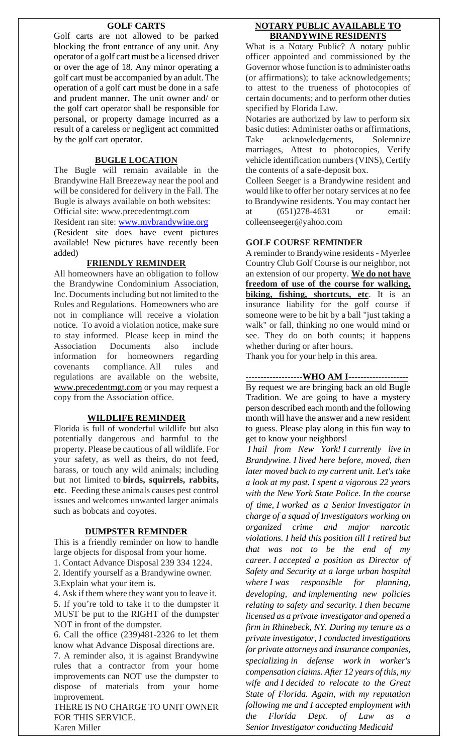## **GOLF CARTS**

Golf carts are not allowed to be parked blocking the front entrance of any unit. Any operator of a golf cart must be a licensed driver or over the age of 18. Any minor operating a golf cart must be accompanied by an adult. The operation of a golf cart must be done in a safe and prudent manner. The unit owner and/ or the golf cart operator shall be responsible for personal, or property damage incurred as a result of a careless or negligent act committed by the golf cart operator.

#### **BUGLE LOCATION**

The Bugle will remain available in the Brandywine Hall Breezeway near the pool and will be considered for delivery in the Fall. The Bugle is always available on both websites: Official site: www.precedentmgt.com

Resident ran site: [www.mybrandywine.org](http://www.mybrandywine.org/)

(Resident site does have event pictures available! New pictures have recently been added)

#### **FRIENDLY REMINDER**

All homeowners have an obligation to follow the Brandywine Condominium Association, Inc. Documents including but not limited to the Rules and Regulations. Homeowners who are not in compliance will receive a violation notice. To avoid a violation notice, make sure to stay informed. Please keep in mind the Association Documents also include information for homeowners regarding covenants compliance. All rules and regulations are available on the website, [www.precedentmgt.com](http://www.precedentmgt.com/) or you may request a copy from the Association office.

#### **WILDLIFE REMINDER**

Florida is full of wonderful wildlife but also potentially dangerous and harmful to the property. Please be cautious of all wildlife. For your safety, as well as theirs, do not feed, harass, or touch any wild animals; including but not limited to **birds, squirrels, rabbits, etc**. Feeding these animals causes pest control issues and welcomes unwanted larger animals such as bobcats and coyotes.

### **DUMPSTER REMINDER**

This is a friendly reminder on how to handle large objects for disposal from your home.

1. Contact Advance Disposal 239 334 1224. 2. Identify yourself as a Brandywine owner.

3.Explain what your item is.

4. Ask if them where they want you to leave it. 5. If you're told to take it to the dumpster it MUST be put to the RIGHT of the dumpster NOT in front of the dumpster.

6. Call the office (239)481-2326 to let them know what Advance Disposal directions are.

7. A reminder also, it is against Brandywine rules that a contractor from your home improvements can NOT use the dumpster to dispose of materials from your home improvement.

THERE IS NO CHARGE TO UNIT OWNER FOR THIS SERVICE. Karen Miller

## **NOTARY PUBLIC AVAILABLE TO BRANDYWINE RESIDENTS**

What is a Notary Public? A notary public officer appointed and commissioned by the Governor whose function is to administer oaths (or affirmations); to take acknowledgements; to attest to the trueness of photocopies of certain documents; and to perform other duties specified by Florida Law.

Notaries are authorized by law to perform six basic duties: Administer oaths or affirmations, Take acknowledgements, Solemnize marriages, Attest to photocopies, Verify vehicle identification numbers (VINS), Certify the contents of a safe-deposit box.

Colleen Seeger is a Brandywine resident and would like to offer her notary services at no fee to Brandywine residents. You may contact her at (651)278-4631 or email: colleenseeger@yahoo.com

## **GOLF COURSE REMINDER**

A reminder to Brandywine residents - Myerlee Country Club Golf Course is our neighbor, not an extension of our property. **We do not have freedom of use of the course for walking, biking, fishing, shortcuts, etc.** It is an insurance liability for the golf course if someone were to be hit by a ball "just taking a walk" or fall, thinking no one would mind or see. They do on both counts; it happens whether during or after hours.

Thank you for your help in this area.

## **-------------------WHO AM I--------------------**

By request we are bringing back an old Bugle Tradition. We are going to have a mystery person described each month and the following month will have the answer and a new resident to guess. Please play along in this fun way to get to know your neighbors!

*I hail from New York! I currently live in Brandywine. I lived here before, moved, then later moved back to my current unit. Let's take a look at my past. I spent a vigorous 22 years with the New York State Police. In the course of time, I worked as a Senior Investigator in charge of a squad of Investigators working on organized crime and major narcotic violations. I held this position till I retired but that was not to be the end of my career. I accepted a position as Director of Safety and Security at a large urban hospital where I was responsible for planning, developing, and implementing new policies relating to safety and security. I then became licensed as a private investigator and opened a firm in Rhinebeck, NY. During my tenure as a private investigator, I conducted investigations for private attorneys and insurance companies, specializing in defense work in worker's compensation claims. After 12 years of this, my wife and I decided to relocate to the Great State of Florida. Again, with my reputation following me and I accepted employment with the Florida Dept. of Law as a Senior Investigator conducting Medicaid*